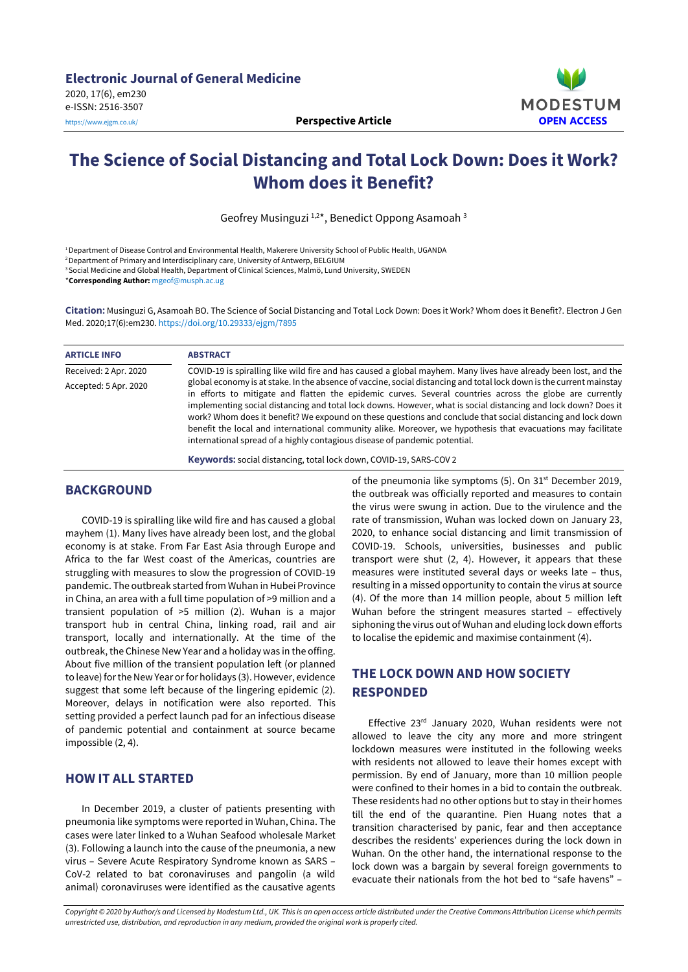

# **The Science of Social Distancing and Total Lock Down: Does it Work? Whom does it Benefit?**

Geofrey Musinguzi<sup>1,2\*</sup>, Benedict Oppong Asamoah<sup>3</sup>

<sup>1</sup>Department of Disease Control and Environmental Health, Makerere University School of Public Health, UGANDA

<sup>2</sup> Department of Primary and Interdisciplinary care, University of Antwerp, BELGIUM

<sup>3</sup> Social Medicine and Global Health, Department of Clinical Sciences, Malmö, Lund University, SWEDEN

\***Corresponding Author:** [mgeof@musph.ac.ug](mailto:mgeof@musph.ac.ug)

**Citation:** Musinguzi G, Asamoah BO. The Science of Social Distancing and Total Lock Down: Does it Work? Whom does it Benefit?. Electron J Gen Med. 2020;17(6):em230. <https://doi.org/10.29333/ejgm/7895>

| <b>ARTICLE INFO</b>   | <b>ABSTRACT</b>                                                                                                                                                                                                                                                                                                                                                                                                                                                                                                                                                                                                                                                                                                                                                                     |
|-----------------------|-------------------------------------------------------------------------------------------------------------------------------------------------------------------------------------------------------------------------------------------------------------------------------------------------------------------------------------------------------------------------------------------------------------------------------------------------------------------------------------------------------------------------------------------------------------------------------------------------------------------------------------------------------------------------------------------------------------------------------------------------------------------------------------|
| Received: 2 Apr. 2020 | COVID-19 is spiralling like wild fire and has caused a global mayhem. Many lives have already been lost, and the<br>global economy is at stake. In the absence of vaccine, social distancing and total lock down is the current mainstay<br>in efforts to mitigate and flatten the epidemic curves. Several countries across the globe are currently<br>implementing social distancing and total lock downs. However, what is social distancing and lock down? Does it<br>work? Whom does it benefit? We expound on these questions and conclude that social distancing and lock down<br>benefit the local and international community alike. Moreover, we hypothesis that evacuations may facilitate<br>international spread of a highly contagious disease of pandemic potential. |
| Accepted: 5 Apr. 2020 |                                                                                                                                                                                                                                                                                                                                                                                                                                                                                                                                                                                                                                                                                                                                                                                     |

**Keywords:** social distancing, total lock down, COVID-19, SARS-COV 2

#### **BACKGROUND**

COVID-19 is spiralling like wild fire and has caused a global mayhem (1). Many lives have already been lost, and the global economy is at stake. From Far East Asia through Europe and Africa to the far West coast of the Americas, countries are struggling with measures to slow the progression of COVID-19 pandemic. The outbreak started from Wuhan in Hubei Province in China, an area with a full time population of >9 million and a transient population of >5 million (2). Wuhan is a major transport hub in central China, linking road, rail and air transport, locally and internationally. At the time of the outbreak, the Chinese New Year and a holiday was in the offing. About five million of the transient population left (or planned to leave) for the New Year or for holidays (3). However, evidence suggest that some left because of the lingering epidemic (2). Moreover, delays in notification were also reported. This setting provided a perfect launch pad for an infectious disease of pandemic potential and containment at source became impossible (2, 4).

### **HOW IT ALL STARTED**

In December 2019, a cluster of patients presenting with pneumonia like symptoms were reported in Wuhan, China. The cases were later linked to a Wuhan Seafood wholesale Market (3). Following a launch into the cause of the pneumonia, a new virus – Severe Acute Respiratory Syndrome known as SARS – CoV-2 related to bat coronaviruses and pangolin (a wild animal) coronaviruses were identified as the causative agents

of the pneumonia like symptoms (5). On 31<sup>st</sup> December 2019, the outbreak was officially reported and measures to contain the virus were swung in action. Due to the virulence and the rate of transmission, Wuhan was locked down on January 23, 2020, to enhance social distancing and limit transmission of COVID-19. Schools, universities, businesses and public transport were shut (2, 4). However, it appears that these measures were instituted several days or weeks late – thus, resulting in a missed opportunity to contain the virus at source (4). Of the more than 14 million people, about 5 million left Wuhan before the stringent measures started – effectively siphoning the virus out of Wuhan and eluding lock down efforts to localise the epidemic and maximise containment (4).

### **THE LOCK DOWN AND HOW SOCIETY RESPONDED**

Effective 23rd January 2020, Wuhan residents were not allowed to leave the city any more and more stringent lockdown measures were instituted in the following weeks with residents not allowed to leave their homes except with permission. By end of January, more than 10 million people were confined to their homes in a bid to contain the outbreak. These residents had no other options but to stay in their homes till the end of the quarantine. Pien Huang notes that a transition characterised by panic, fear and then acceptance describes the residents' experiences during the lock down in Wuhan. On the other hand, the international response to the lock down was a bargain by several foreign governments to evacuate their nationals from the hot bed to "safe havens" –

Copyright © 2020 by Author/s and Licensed by Modestum Ltd., UK. This is an open access article distributed under the Creative Commons Attribution License which permits *unrestricted use, distribution, and reproduction in any medium, provided the original work is properly cited.*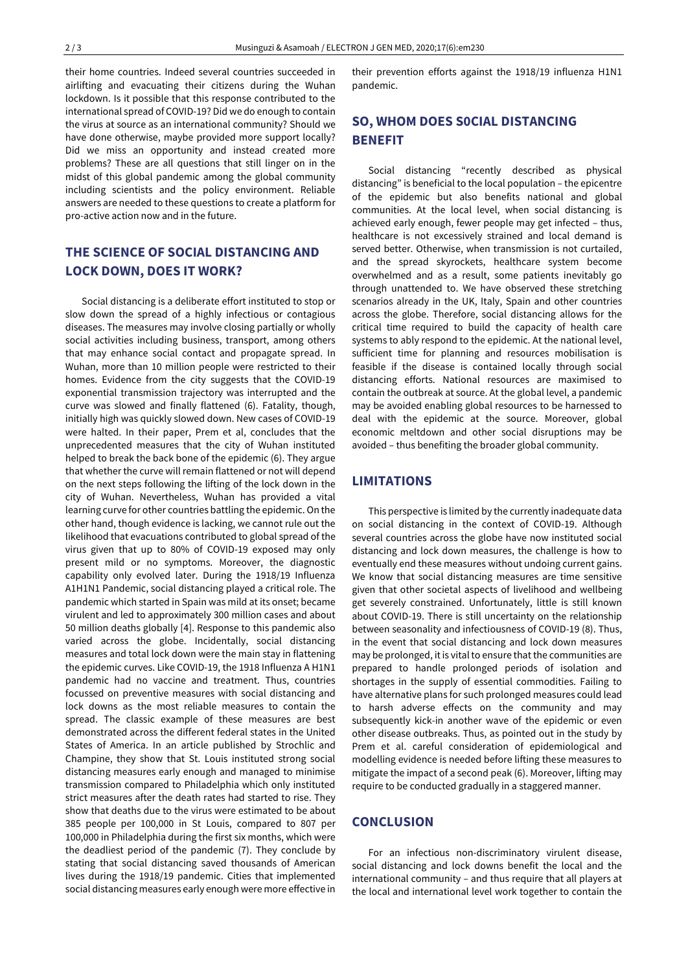their home countries. Indeed several countries succeeded in airlifting and evacuating their citizens during the Wuhan lockdown. Is it possible that this response contributed to the international spread of COVID-19? Did we do enough to contain the virus at source as an international community? Should we have done otherwise, maybe provided more support locally? Did we miss an opportunity and instead created more problems? These are all questions that still linger on in the midst of this global pandemic among the global community including scientists and the policy environment. Reliable answers are needed to these questions to create a platform for pro-active action now and in the future.

### **THE SCIENCE OF SOCIAL DISTANCING AND LOCK DOWN, DOES IT WORK?**

Social distancing is a deliberate effort instituted to stop or slow down the spread of a highly infectious or contagious diseases. The measures may involve closing partially or wholly social activities including business, transport, among others that may enhance social contact and propagate spread. In Wuhan, more than 10 million people were restricted to their homes. Evidence from the city suggests that the COVID-19 exponential transmission trajectory was interrupted and the curve was slowed and finally flattened (6). Fatality, though, initially high was quickly slowed down. New cases of COVID-19 were halted. In their paper, Prem et al, concludes that the unprecedented measures that the city of Wuhan instituted helped to break the back bone of the epidemic (6). They argue that whether the curve will remain flattened or not will depend on the next steps following the lifting of the lock down in the city of Wuhan. Nevertheless, Wuhan has provided a vital learning curve for other countries battling the epidemic. On the other hand, though evidence is lacking, we cannot rule out the likelihood that evacuations contributed to global spread of the virus given that up to 80% of COVID-19 exposed may only present mild or no symptoms. Moreover, the diagnostic capability only evolved later. During the 1918/19 Influenza A1H1N1 Pandemic, social distancing played a critical role. The pandemic which started in Spain was mild at its onset; became virulent and led to approximately 300 million cases and about 50 million deaths globally [4]. Response to this pandemic also varied across the globe. Incidentally, social distancing measures and total lock down were the main stay in flattening the epidemic curves. Like COVID-19, the 1918 Influenza A H1N1 pandemic had no vaccine and treatment. Thus, countries focussed on preventive measures with social distancing and lock downs as the most reliable measures to contain the spread. The classic example of these measures are best demonstrated across the different federal states in the United States of America. In an article published by Strochlic and Champine, they show that St. Louis instituted strong social distancing measures early enough and managed to minimise transmission compared to Philadelphia which only instituted strict measures after the death rates had started to rise. They show that deaths due to the virus were estimated to be about 385 people per 100,000 in St Louis, compared to 807 per 100,000 in Philadelphia during the first six months, which were the deadliest period of the pandemic (7). They conclude by stating that social distancing saved thousands of American lives during the 1918/19 pandemic. Cities that implemented social distancing measures early enough were more effective in

their prevention efforts against the 1918/19 influenza H1N1 pandemic.

## **SO, WHOM DOES S0CIAL DISTANCING BENEFIT**

Social distancing "recently described as physical distancing" is beneficial to the local population – the epicentre of the epidemic but also benefits national and global communities. At the local level, when social distancing is achieved early enough, fewer people may get infected – thus, healthcare is not excessively strained and local demand is served better. Otherwise, when transmission is not curtailed, and the spread skyrockets, healthcare system become overwhelmed and as a result, some patients inevitably go through unattended to. We have observed these stretching scenarios already in the UK, Italy, Spain and other countries across the globe. Therefore, social distancing allows for the critical time required to build the capacity of health care systems to ably respond to the epidemic. At the national level, sufficient time for planning and resources mobilisation is feasible if the disease is contained locally through social distancing efforts. National resources are maximised to contain the outbreak at source. At the global level, a pandemic may be avoided enabling global resources to be harnessed to deal with the epidemic at the source. Moreover, global economic meltdown and other social disruptions may be avoided – thus benefiting the broader global community.

#### **LIMITATIONS**

This perspective is limited by the currently inadequate data on social distancing in the context of COVID-19. Although several countries across the globe have now instituted social distancing and lock down measures, the challenge is how to eventually end these measures without undoing current gains. We know that social distancing measures are time sensitive given that other societal aspects of livelihood and wellbeing get severely constrained. Unfortunately, little is still known about COVID-19. There is still uncertainty on the relationship between seasonality and infectiousness of COVID-19 (8). Thus, in the event that social distancing and lock down measures may be prolonged, it is vital to ensure that the communities are prepared to handle prolonged periods of isolation and shortages in the supply of essential commodities. Failing to have alternative plans for such prolonged measures could lead to harsh adverse effects on the community and may subsequently kick-in another wave of the epidemic or even other disease outbreaks. Thus, as pointed out in the study by Prem et al. careful consideration of epidemiological and modelling evidence is needed before lifting these measures to mitigate the impact of a second peak (6). Moreover, lifting may require to be conducted gradually in a staggered manner.

#### **CONCLUSION**

For an infectious non-discriminatory virulent disease, social distancing and lock downs benefit the local and the international community – and thus require that all players at the local and international level work together to contain the